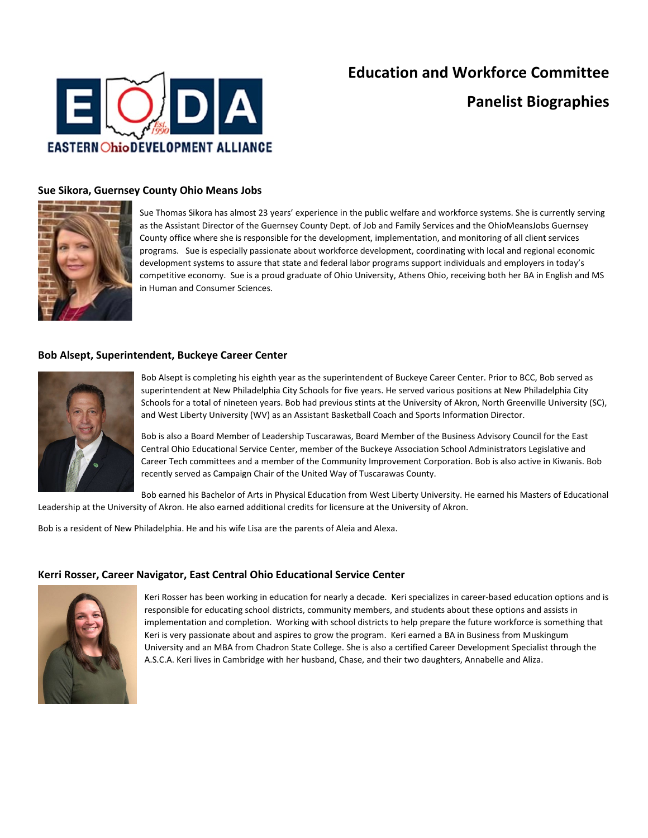

# **Education and Workforce Committee**

**Panelist Biographies**

### **Sue Sikora, Guernsey County Ohio Means Jobs**



Sue Thomas Sikora has almost 23 years' experience in the public welfare and workforce systems. She is currently serving as the Assistant Director of the Guernsey County Dept. of Job and Family Services and the OhioMeansJobs Guernsey County office where she is responsible for the development, implementation, and monitoring of all client services programs. Sue is especially passionate about workforce development, coordinating with local and regional economic development systems to assure that state and federal labor programs support individuals and employers in today's competitive economy. Sue is a proud graduate of Ohio University, Athens Ohio, receiving both her BA in English and MS in Human and Consumer Sciences.

### **Bob Alsept, Superintendent, Buckeye Career Center**



Bob Alsept is completing his eighth year as the superintendent of Buckeye Career Center. Prior to BCC, Bob served as superintendent at New Philadelphia City Schools for five years. He served various positions at New Philadelphia City Schools for a total of nineteen years. Bob had previous stints at the University of Akron, North Greenville University (SC), and West Liberty University (WV) as an Assistant Basketball Coach and Sports Information Director.

Bob is also a Board Member of Leadership Tuscarawas, Board Member of the Business Advisory Council for the East Central Ohio Educational Service Center, member of the Buckeye Association School Administrators Legislative and Career Tech committees and a member of the Community Improvement Corporation. Bob is also active in Kiwanis. Bob recently served as Campaign Chair of the United Way of Tuscarawas County.

Bob earned his Bachelor of Arts in Physical Education from West Liberty University. He earned his Masters of Educational Leadership at the University of Akron. He also earned additional credits for licensure at the University of Akron.

Bob is a resident of New Philadelphia. He and his wife Lisa are the parents of Aleia and Alexa.

### **Kerri Rosser, Career Navigator, East Central Ohio Educational Service Center**



Keri Rosser has been working in education for nearly a decade. Keri specializes in career-based education options and is responsible for educating school districts, community members, and students about these options and assists in implementation and completion. Working with school districts to help prepare the future workforce is something that Keri is very passionate about and aspires to grow the program. Keri earned a BA in Business from Muskingum University and an MBA from Chadron State College. She is also a certified Career Development Specialist through the A.S.C.A. Keri lives in Cambridge with her husband, Chase, and their two daughters, Annabelle and Aliza.